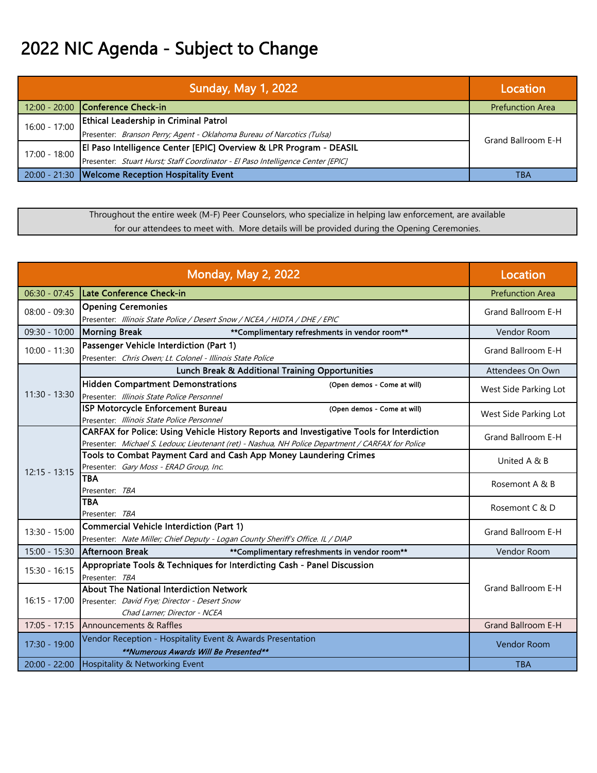## 2022 NIC Agenda - Subject to Change

|                 | <b>Sunday, May 1, 2022</b>                                                      | Location                |
|-----------------|---------------------------------------------------------------------------------|-------------------------|
|                 | 12:00 - 20:00 Conference Check-in                                               | <b>Prefunction Area</b> |
| $16:00 - 17:00$ | <b>Ethical Leadership in Criminal Patrol</b>                                    | Grand Ballroom E-H      |
|                 | Presenter: Branson Perry; Agent - Oklahoma Bureau of Narcotics (Tulsa)          |                         |
| $17:00 - 18:00$ | El Paso Intelligence Center [EPIC] Overview & LPR Program - DEASIL              |                         |
|                 | Presenter: Stuart Hurst; Staff Coordinator - El Paso Intelligence Center [EPIC] |                         |
|                 | 20:00 - 21:30   Welcome Reception Hospitality Event                             | ТВА                     |

Throughout the entire week (M-F) Peer Counselors, who specialize in helping law enforcement, are available for our attendees to meet with. More details will be provided during the Opening Ceremonies.

| <b>Monday, May 2, 2022</b> |                                                                                                                                                                                                | Location                |
|----------------------------|------------------------------------------------------------------------------------------------------------------------------------------------------------------------------------------------|-------------------------|
| $06:30 - 07:45$            | Late Conference Check-in                                                                                                                                                                       | <b>Prefunction Area</b> |
| $08:00 - 09:30$            | <b>Opening Ceremonies</b><br>Presenter: Illinois State Police / Desert Snow / NCEA / HIDTA / DHE / EPIC                                                                                        | Grand Ballroom E-H      |
| 09:30 - 10:00              | <b>Morning Break</b><br>**Complimentary refreshments in vendor room**                                                                                                                          | <b>Vendor Room</b>      |
| $10:00 - 11:30$            | Passenger Vehicle Interdiction (Part 1)<br>Presenter: Chris Owen; Lt. Colonel - Illinois State Police                                                                                          | Grand Ballroom E-H      |
|                            | Lunch Break & Additional Training Opportunities                                                                                                                                                | Attendees On Own        |
| $11:30 - 13:30$            | <b>Hidden Compartment Demonstrations</b><br>(Open demos - Come at will)<br>Presenter: Illinois State Police Personnel                                                                          | West Side Parking Lot   |
|                            | ISP Motorcycle Enforcement Bureau<br>(Open demos - Come at will)<br>Presenter: Illinois State Police Personnel                                                                                 | West Side Parking Lot   |
|                            | CARFAX for Police: Using Vehicle History Reports and Investigative Tools for Interdiction<br>Presenter: Michael S. Ledoux; Lieutenant (ret) - Nashua, NH Police Department / CARFAX for Police | Grand Ballroom E-H      |
| $12:15 - 13:15$            | Tools to Combat Payment Card and Cash App Money Laundering Crimes<br>Presenter: Gary Moss - ERAD Group, Inc.                                                                                   | United A & B            |
|                            | <b>TBA</b><br>Presenter: TBA                                                                                                                                                                   | Rosemont A & B          |
|                            | <b>TBA</b><br>Presenter: TBA                                                                                                                                                                   | Rosemont C & D          |
| $13:30 - 15:00$            | <b>Commercial Vehicle Interdiction (Part 1)</b><br>Presenter: Nate Miller; Chief Deputy - Logan County Sheriff's Office. IL / DIAP                                                             | Grand Ballroom E-H      |
| $15:00 - 15:30$            | Afternoon Break<br>**Complimentary refreshments in vendor room**                                                                                                                               | <b>Vendor Room</b>      |
| $15:30 - 16:15$            | Appropriate Tools & Techniques for Interdicting Cash - Panel Discussion<br>Presenter: TBA                                                                                                      |                         |
| $16:15 - 17:00$            | <b>About The National Interdiction Network</b><br>Presenter: David Frye; Director - Desert Snow<br>Chad Larner; Director - NCEA                                                                | Grand Ballroom E-H      |
| $17:05 - 17:15$            | Announcements & Raffles                                                                                                                                                                        | Grand Ballroom E-H      |
| 17:30 - 19:00              | Vendor Reception - Hospitality Event & Awards Presentation<br>**Numerous Awards Will Be Presented**                                                                                            | <b>Vendor Room</b>      |
| $20:00 - 22:00$            | Hospitality & Networking Event                                                                                                                                                                 | <b>TBA</b>              |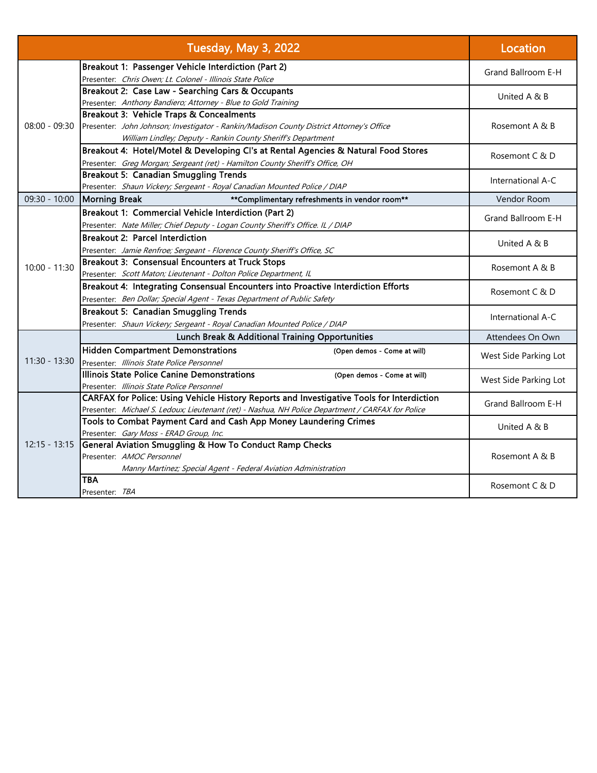| Tuesday, May 3, 2022 |                                                                                                   | Location              |  |
|----------------------|---------------------------------------------------------------------------------------------------|-----------------------|--|
|                      | Breakout 1: Passenger Vehicle Interdiction (Part 2)                                               | Grand Ballroom E-H    |  |
|                      | Presenter: Chris Owen; Lt. Colonel - Illinois State Police                                        |                       |  |
|                      | Breakout 2: Case Law - Searching Cars & Occupants                                                 | United A & B          |  |
|                      | Presenter: Anthony Bandiero; Attorney - Blue to Gold Training                                     |                       |  |
|                      | Breakout 3: Vehicle Traps & Concealments                                                          |                       |  |
| $08:00 - 09:30$      | Presenter: John Johnson; Investigator - Rankin/Madison County District Attorney's Office          | Rosemont A & B        |  |
|                      | William Lindley; Deputy - Rankin County Sheriff's Department                                      |                       |  |
|                      | Breakout 4: Hotel/Motel & Developing Cl's at Rental Agencies & Natural Food Stores                | Rosemont C & D        |  |
|                      | Presenter: Greg Morgan; Sergeant (ret) - Hamilton County Sheriff's Office, OH                     |                       |  |
|                      | <b>Breakout 5: Canadian Smuggling Trends</b>                                                      | International A-C     |  |
|                      | Presenter: Shaun Vickery; Sergeant - Royal Canadian Mounted Police / DIAP                         |                       |  |
| $09:30 - 10:00$      | Morning Break<br>**Complimentary refreshments in vendor room**                                    | Vendor Room           |  |
|                      | Breakout 1: Commercial Vehicle Interdiction (Part 2)                                              | Grand Ballroom E-H    |  |
|                      | Presenter: Nate Miller; Chief Deputy - Logan County Sheriff's Office. IL / DIAP                   |                       |  |
|                      | <b>Breakout 2: Parcel Interdiction</b>                                                            | United A & B          |  |
|                      | Presenter: Jamie Renfroe; Sergeant - Florence County Sheriff's Office, SC                         |                       |  |
| $10:00 - 11:30$      | Breakout 3: Consensual Encounters at Truck Stops                                                  | Rosemont A & B        |  |
|                      | Presenter: Scott Maton; Lieutenant - Dolton Police Department, IL                                 |                       |  |
|                      | Breakout 4: Integrating Consensual Encounters into Proactive Interdiction Efforts                 | Rosemont C & D        |  |
|                      | Presenter: Ben Dollar; Special Agent - Texas Department of Public Safety                          |                       |  |
|                      | Breakout 5: Canadian Smuggling Trends                                                             | International A-C     |  |
|                      | Presenter: Shaun Vickery; Sergeant - Royal Canadian Mounted Police / DIAP                         |                       |  |
|                      | <b>Lunch Break &amp; Additional Training Opportunities</b>                                        | Attendees On Own      |  |
|                      | <b>Hidden Compartment Demonstrations</b><br>(Open demos - Come at will)                           | West Side Parking Lot |  |
| $11:30 - 13:30$      | Presenter: Illinois State Police Personnel                                                        |                       |  |
|                      | Illinois State Police Canine Demonstrations<br>(Open demos - Come at will)                        | West Side Parking Lot |  |
|                      | Presenter: Illinois State Police Personnel                                                        |                       |  |
|                      | CARFAX for Police: Using Vehicle History Reports and Investigative Tools for Interdiction         | Grand Ballroom E-H    |  |
| $12:15 - 13:15$      | Presenter: Michael S. Ledoux; Lieutenant (ret) - Nashua, NH Police Department / CARFAX for Police |                       |  |
|                      | Tools to Combat Payment Card and Cash App Money Laundering Crimes                                 | United A & B          |  |
|                      | Presenter: Gary Moss - ERAD Group, Inc.                                                           |                       |  |
|                      | General Aviation Smuggling & How To Conduct Ramp Checks                                           |                       |  |
|                      | Presenter: AMOC Personnel                                                                         | Rosemont A & B        |  |
|                      | Manny Martinez; Special Agent - Federal Aviation Administration                                   |                       |  |
|                      | TBA                                                                                               | Rosemont C & D        |  |
|                      | Presenter: <i>TBA</i>                                                                             |                       |  |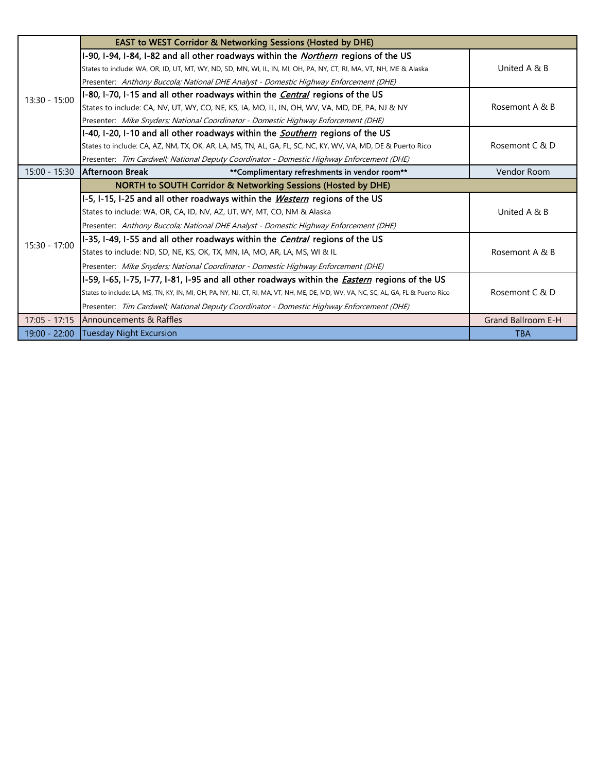|                 | <b>EAST to WEST Corridor &amp; Networking Sessions (Hosted by DHE)</b>                                                              |                           |
|-----------------|-------------------------------------------------------------------------------------------------------------------------------------|---------------------------|
| $13:30 - 15:00$ | I-90, I-94, I-84, I-82 and all other roadways within the <i>Northern</i> regions of the US                                          |                           |
|                 | States to include: WA, OR, ID, UT, MT, WY, ND, SD, MN, WI, IL, IN, MI, OH, PA, NY, CT, RI, MA, VT, NH, ME & Alaska                  | United A & B              |
|                 | Presenter: Anthony Buccola; National DHE Analyst - Domestic Highway Enforcement (DHE)                                               |                           |
|                 | I-80, I-70, I-15 and all other roadways within the <i>Central</i> regions of the US                                                 |                           |
|                 | States to include: CA, NV, UT, WY, CO, NE, KS, IA, MO, IL, IN, OH, WV, VA, MD, DE, PA, NJ & NY                                      | Rosemont A & B            |
|                 | Presenter: Mike Snyders; National Coordinator - Domestic Highway Enforcement (DHE)                                                  |                           |
|                 | I-40, I-20, I-10 and all other roadways within the <i>Southern</i> regions of the US                                                |                           |
|                 | States to include: CA, AZ, NM, TX, OK, AR, LA, MS, TN, AL, GA, FL, SC, NC, KY, WV, VA, MD, DE & Puerto Rico                         | Rosemont C & D            |
|                 | Presenter: Tim Cardwell; National Deputy Coordinator - Domestic Highway Enforcement (DHE)                                           |                           |
| $15:00 - 15:30$ | IAfternoon Break<br>**Complimentary refreshments in vendor room**                                                                   | Vendor Room               |
|                 | <b>NORTH to SOUTH Corridor &amp; Networking Sessions (Hosted by DHE)</b>                                                            |                           |
|                 | I-5, I-15, I-25 and all other roadways within the <i>Western</i> regions of the US                                                  |                           |
|                 | States to include: WA, OR, CA, ID, NV, AZ, UT, WY, MT, CO, NM & Alaska                                                              | United A & B              |
|                 | Presenter: Anthony Buccola; National DHE Analyst - Domestic Highway Enforcement (DHE)                                               |                           |
| $15:30 - 17:00$ | I-35, I-49, I-55 and all other roadways within the <i>Central</i> regions of the US                                                 |                           |
|                 | States to include: ND, SD, NE, KS, OK, TX, MN, IA, MO, AR, LA, MS, WI & IL                                                          | Rosemont A & B            |
|                 | Presenter: Mike Snyders; National Coordinator - Domestic Highway Enforcement (DHE)                                                  |                           |
|                 | I-59, I-65, I-75, I-77, I-81, I-95 and all other roadways within the <i>Eastern</i> regions of the US                               |                           |
|                 | States to include: LA, MS, TN, KY, IN, MI, OH, PA, NY, NJ, CT, RI, MA, VT, NH, ME, DE, MD, WV, VA, NC, SC, AL, GA, FL & Puerto Rico | Rosemont C & D            |
|                 | Presenter: Tim Cardwell; National Deputy Coordinator - Domestic Highway Enforcement (DHE)                                           |                           |
| $17:05 - 17:15$ | <b>Announcements &amp; Raffles</b>                                                                                                  | <b>Grand Ballroom E-H</b> |
| $19:00 - 22:00$ | Tuesday Night Excursion                                                                                                             | <b>TBA</b>                |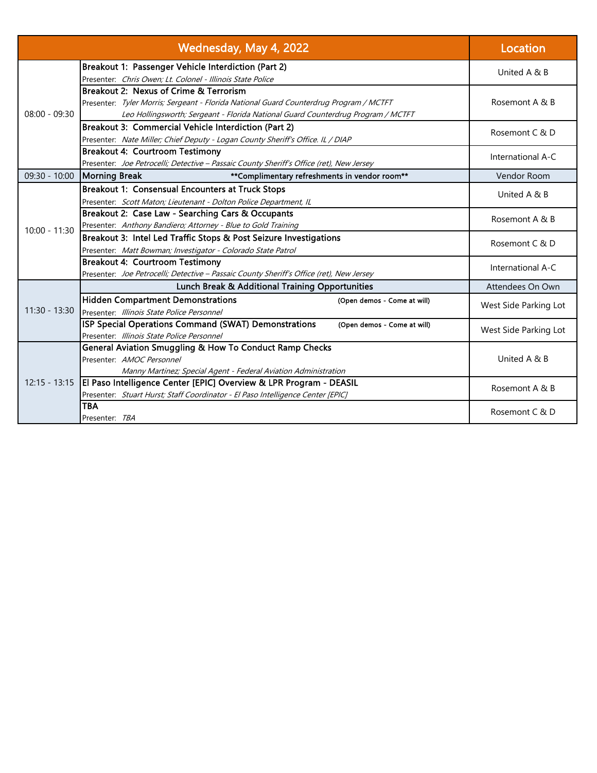|                 | Wednesday, May 4, 2022                                                                   | Location              |
|-----------------|------------------------------------------------------------------------------------------|-----------------------|
|                 | Breakout 1: Passenger Vehicle Interdiction (Part 2)                                      | United A & B          |
|                 | Presenter: Chris Owen; Lt. Colonel - Illinois State Police                               |                       |
|                 | Breakout 2: Nexus of Crime & Terrorism                                                   |                       |
|                 | Presenter: Tyler Morris; Sergeant - Florida National Guard Counterdrug Program / MCTFT   | Rosemont A & B        |
| $08:00 - 09:30$ | Leo Hollingsworth; Sergeant - Florida National Guard Counterdrug Program / MCTFT         |                       |
|                 | Breakout 3: Commercial Vehicle Interdiction (Part 2)                                     | Rosemont C & D        |
|                 | Presenter: Nate Miller; Chief Deputy - Logan County Sheriff's Office. IL / DIAP          |                       |
|                 | <b>Breakout 4: Courtroom Testimony</b>                                                   | International A-C     |
|                 | Presenter: Joe Petrocelli; Detective - Passaic County Sheriff's Office (ret), New Jersey |                       |
| 09:30 - 10:00   | <b>Morning Break</b><br>**Complimentary refreshments in vendor room**                    | Vendor Room           |
|                 | Breakout 1: Consensual Encounters at Truck Stops                                         | United A & B          |
|                 | Presenter: Scott Maton; Lieutenant - Dolton Police Department, IL                        |                       |
|                 | Breakout 2: Case Law - Searching Cars & Occupants                                        | Rosemont A & B        |
| $10:00 - 11:30$ | Presenter: Anthony Bandiero; Attorney - Blue to Gold Training                            |                       |
|                 | Breakout 3: Intel Led Traffic Stops & Post Seizure Investigations                        | Rosemont C & D        |
|                 | Presenter: Matt Bowman; Investigator - Colorado State Patrol                             |                       |
|                 | <b>Breakout 4: Courtroom Testimony</b>                                                   | International A-C     |
|                 | Presenter: Joe Petrocelli; Detective - Passaic County Sheriff's Office (ret), New Jersey |                       |
|                 | <b>Lunch Break &amp; Additional Training Opportunities</b>                               | Attendees On Own      |
|                 | <b>Hidden Compartment Demonstrations</b><br>(Open demos - Come at will)                  | West Side Parking Lot |
| $11:30 - 13:30$ | Presenter: Illinois State Police Personnel                                               |                       |
|                 | ISP Special Operations Command (SWAT) Demonstrations<br>(Open demos - Come at will)      | West Side Parking Lot |
|                 | Presenter: Illinois State Police Personnel                                               |                       |
|                 | General Aviation Smuggling & How To Conduct Ramp Checks                                  |                       |
| $12:15 - 13:15$ | Presenter: AMOC Personnel                                                                | United A & B          |
|                 | Manny Martinez; Special Agent - Federal Aviation Administration                          |                       |
|                 | El Paso Intelligence Center [EPIC] Overview & LPR Program - DEASIL                       | Rosemont A & B        |
|                 | Presenter: Stuart Hurst; Staff Coordinator - El Paso Intelligence Center [EPIC]          |                       |
|                 | <b>TBA</b>                                                                               | Rosemont C & D        |
|                 | Presenter: TBA                                                                           |                       |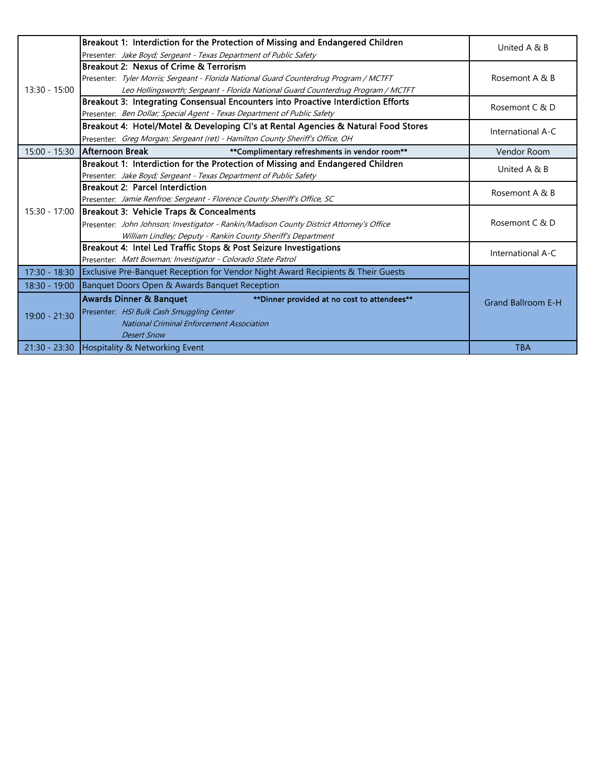|               | Breakout 1: Interdiction for the Protection of Missing and Endangered Children                 | United A & B              |
|---------------|------------------------------------------------------------------------------------------------|---------------------------|
|               | Presenter: Jake Boyd; Sergeant - Texas Department of Public Safety                             |                           |
|               | Breakout 2: Nexus of Crime & Terrorism                                                         |                           |
|               | Presenter: Tyler Morris; Sergeant - Florida National Guard Counterdrug Program / MCTFT         | Rosemont A & B            |
| 13:30 - 15:00 | Leo Hollingsworth; Sergeant - Florida National Guard Counterdrug Program / MCTFT               |                           |
|               | Breakout 3: Integrating Consensual Encounters into Proactive Interdiction Efforts              | Rosemont C & D            |
|               | Presenter: Ben Dollar; Special Agent - Texas Department of Public Safety                       |                           |
|               | Breakout 4: Hotel/Motel & Developing CI's at Rental Agencies & Natural Food Stores             | International A-C         |
|               | Presenter: Greg Morgan; Sergeant (ret) - Hamilton County Sheriff's Office, OH                  |                           |
| 15:00 - 15:30 | <b>Afternoon Break</b><br>**Complimentary refreshments in vendor room**                        | Vendor Room               |
|               | Breakout 1: Interdiction for the Protection of Missing and Endangered Children                 | United A & B              |
|               | Presenter: Jake Boyd; Sergeant - Texas Department of Public Safety                             |                           |
|               | <b>Breakout 2: Parcel Interdiction</b>                                                         | Rosemont A & B            |
|               | Presenter: Jamie Renfroe; Sergeant - Florence County Sheriff's Office, SC                      |                           |
| 15:30 - 17:00 | Breakout 3: Vehicle Traps & Concealments                                                       |                           |
|               | Presenter: John Johnson; Investigator - Rankin/Madison County District Attorney's Office       | Rosemont C & D            |
|               | William Lindley; Deputy - Rankin County Sheriff's Department                                   |                           |
|               | Breakout 4: Intel Led Traffic Stops & Post Seizure Investigations                              | International A-C         |
|               | Presenter: Matt Bowman; Investigator - Colorado State Patrol                                   |                           |
|               | 17:30 - 18:30 Exclusive Pre-Banquet Reception for Vendor Night Award Recipients & Their Guests |                           |
| 18:30 - 19:00 | Banquet Doors Open & Awards Banquet Reception                                                  |                           |
| 19:00 - 21:30 | <b>Awards Dinner &amp; Banquet</b><br>** Dinner provided at no cost to attendees**             | <b>Grand Ballroom E-H</b> |
|               | Presenter: HSI Bulk Cash Smuggling Center                                                      |                           |
|               | <b>National Criminal Enforcement Association</b>                                               |                           |
|               | <b>Desert Snow</b>                                                                             |                           |
|               | 21:30 - 23:30 Hospitality & Networking Event                                                   | <b>TBA</b>                |